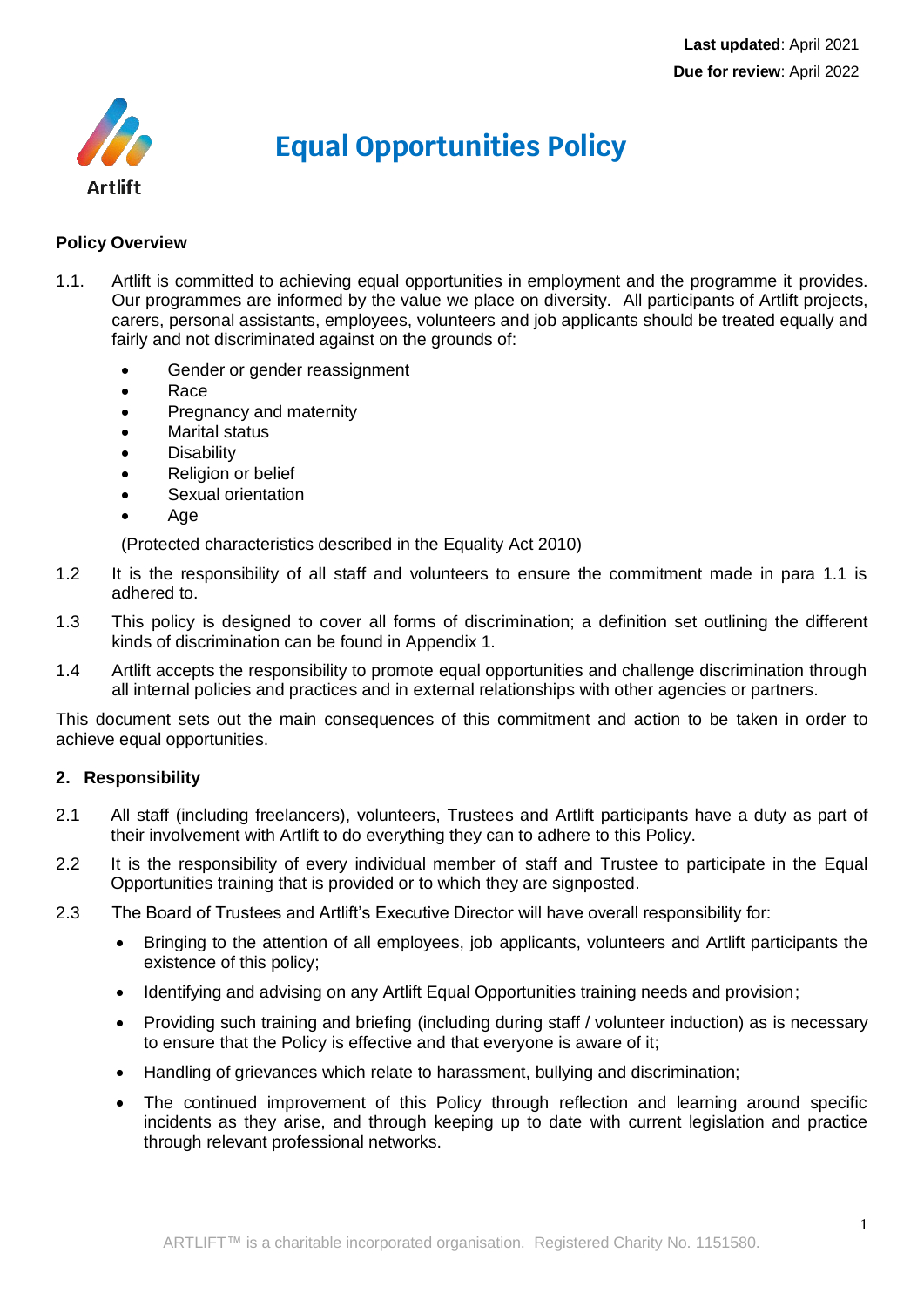

# **Equal Opportunities Policy**

# **Policy Overview**

- 1.1. Artlift is committed to achieving equal opportunities in employment and the programme it provides. Our programmes are informed by the value we place on diversity. All participants of Artlift projects, carers, personal assistants, employees, volunteers and job applicants should be treated equally and fairly and not discriminated against on the grounds of:
	- Gender or gender reassignment
	- Race
	- Pregnancy and maternity
	- Marital status
	- **Disability**
	- Religion or belief
	- Sexual orientation
	- Age

(Protected characteristics described in the Equality Act 2010)

- 1.2 It is the responsibility of all staff and volunteers to ensure the commitment made in para 1.1 is adhered to.
- 1.3 This policy is designed to cover all forms of discrimination; a definition set outlining the different kinds of discrimination can be found in Appendix 1.
- 1.4 Artlift accepts the responsibility to promote equal opportunities and challenge discrimination through all internal policies and practices and in external relationships with other agencies or partners.

This document sets out the main consequences of this commitment and action to be taken in order to achieve equal opportunities.

# **2. Responsibility**

- 2.1 All staff (including freelancers), volunteers, Trustees and Artlift participants have a duty as part of their involvement with Artlift to do everything they can to adhere to this Policy.
- 2.2 It is the responsibility of every individual member of staff and Trustee to participate in the Equal Opportunities training that is provided or to which they are signposted.
- 2.3 The Board of Trustees and Artlift's Executive Director will have overall responsibility for:
	- Bringing to the attention of all employees, job applicants, volunteers and Artlift participants the existence of this policy;
	- Identifying and advising on any Artlift Equal Opportunities training needs and provision;
	- Providing such training and briefing (including during staff / volunteer induction) as is necessary to ensure that the Policy is effective and that everyone is aware of it;
	- Handling of grievances which relate to harassment, bullying and discrimination;
	- The continued improvement of this Policy through reflection and learning around specific incidents as they arise, and through keeping up to date with current legislation and practice through relevant professional networks.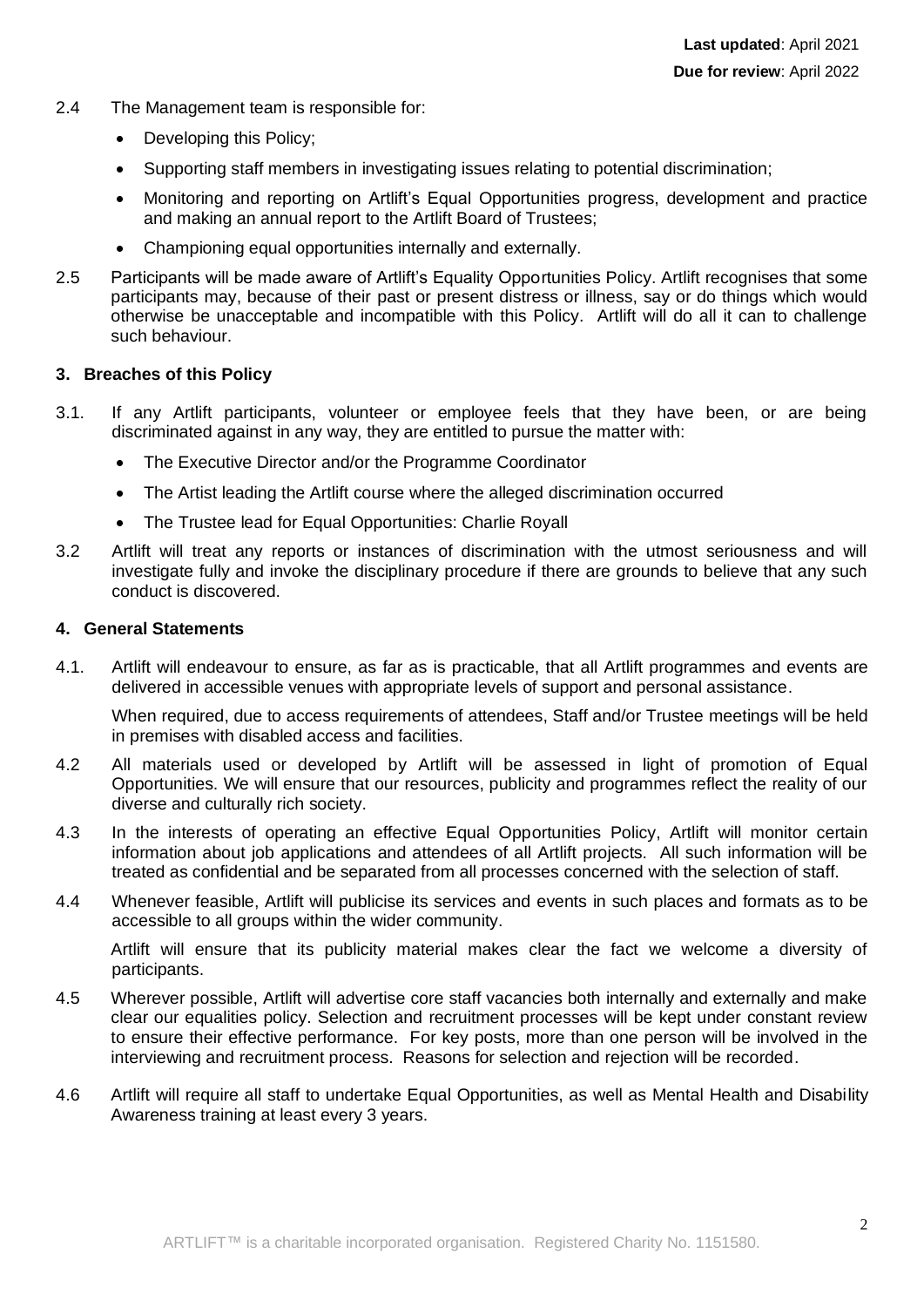- 2.4 The Management team is responsible for:
	- Developing this Policy;
	- Supporting staff members in investigating issues relating to potential discrimination;
	- Monitoring and reporting on Artlift's Equal Opportunities progress, development and practice and making an annual report to the Artlift Board of Trustees;
	- Championing equal opportunities internally and externally.
- 2.5 Participants will be made aware of Artlift's Equality Opportunities Policy. Artlift recognises that some participants may, because of their past or present distress or illness, say or do things which would otherwise be unacceptable and incompatible with this Policy. Artlift will do all it can to challenge such behaviour.

# **3. Breaches of this Policy**

- 3.1. If any Artlift participants, volunteer or employee feels that they have been, or are being discriminated against in any way, they are entitled to pursue the matter with:
	- The Executive Director and/or the Programme Coordinator
	- The Artist leading the Artlift course where the alleged discrimination occurred
	- The Trustee lead for Equal Opportunities: Charlie Royall
- 3.2 Artlift will treat any reports or instances of discrimination with the utmost seriousness and will investigate fully and invoke the disciplinary procedure if there are grounds to believe that any such conduct is discovered.

# **4. General Statements**

4.1. Artlift will endeavour to ensure, as far as is practicable, that all Artlift programmes and events are delivered in accessible venues with appropriate levels of support and personal assistance.

When required, due to access requirements of attendees, Staff and/or Trustee meetings will be held in premises with disabled access and facilities.

- 4.2 All materials used or developed by Artlift will be assessed in light of promotion of Equal Opportunities. We will ensure that our resources, publicity and programmes reflect the reality of our diverse and culturally rich society.
- 4.3 In the interests of operating an effective Equal Opportunities Policy, Artlift will monitor certain information about job applications and attendees of all Artlift projects. All such information will be treated as confidential and be separated from all processes concerned with the selection of staff.
- 4.4 Whenever feasible, Artlift will publicise its services and events in such places and formats as to be accessible to all groups within the wider community.

Artlift will ensure that its publicity material makes clear the fact we welcome a diversity of participants.

- 4.5 Wherever possible, Artlift will advertise core staff vacancies both internally and externally and make clear our equalities policy. Selection and recruitment processes will be kept under constant review to ensure their effective performance. For key posts, more than one person will be involved in the interviewing and recruitment process. Reasons for selection and rejection will be recorded.
- 4.6 Artlift will require all staff to undertake Equal Opportunities, as well as Mental Health and Disability Awareness training at least every 3 years.